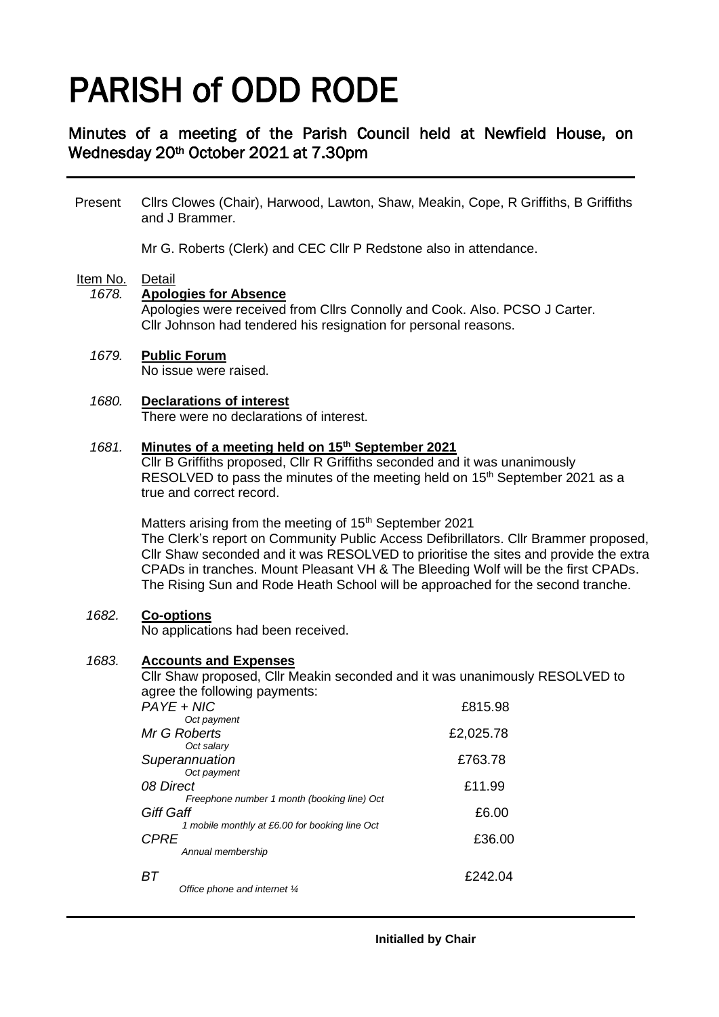# PARISH of ODD RODE

## Minutes of a meeting of the Parish Council held at Newfield House, on Wednesday 20th October 2021 at 7.30pm

Present Cllrs Clowes (Chair), Harwood, Lawton, Shaw, Meakin, Cope, R Griffiths, B Griffiths and J Brammer.

Mr G. Roberts (Clerk) and CEC Cllr P Redstone also in attendance.

## Item No. Detail

#### *1678.* **Apologies for Absence**

Apologies were received from Cllrs Connolly and Cook. Also. PCSO J Carter. Cllr Johnson had tendered his resignation for personal reasons.

#### *1679.* **Public Forum**

No issue were raised.

#### *1680.* **Declarations of interest**

There were no declarations of interest.

#### *1681.* **Minutes of a meeting held on 15th September 2021**

Cllr B Griffiths proposed, Cllr R Griffiths seconded and it was unanimously RESOLVED to pass the minutes of the meeting held on  $15<sup>th</sup>$  September 2021 as a true and correct record.

Matters arising from the meeting of 15<sup>th</sup> September 2021 The Clerk's report on Community Public Access Defibrillators. Cllr Brammer proposed, Cllr Shaw seconded and it was RESOLVED to prioritise the sites and provide the extra CPADs in tranches. Mount Pleasant VH & The Bleeding Wolf will be the first CPADs. The Rising Sun and Rode Heath School will be approached for the second tranche.

#### *1682.* **Co-options**

No applications had been received.

#### *1683.* **Accounts and Expenses**

Cllr Shaw proposed, Cllr Meakin seconded and it was unanimously RESOLVED to agree the following payments:

| PAYE + NIC                                               | £815.98   |
|----------------------------------------------------------|-----------|
| Oct payment                                              |           |
| Mr G Roberts                                             | £2,025.78 |
| Oct salary                                               |           |
| Superannuation                                           | £763.78   |
| Oct payment                                              |           |
| 08 Direct<br>Freephone number 1 month (booking line) Oct | £11.99    |
| <b>Giff Gaff</b>                                         | £6.00     |
| 1 mobile monthly at £6.00 for booking line Oct           |           |
| <b>CPRE</b>                                              | £36.00    |
| Annual membership                                        |           |
| BТ                                                       | £242.04   |
| Office phone and internet 1/4                            |           |